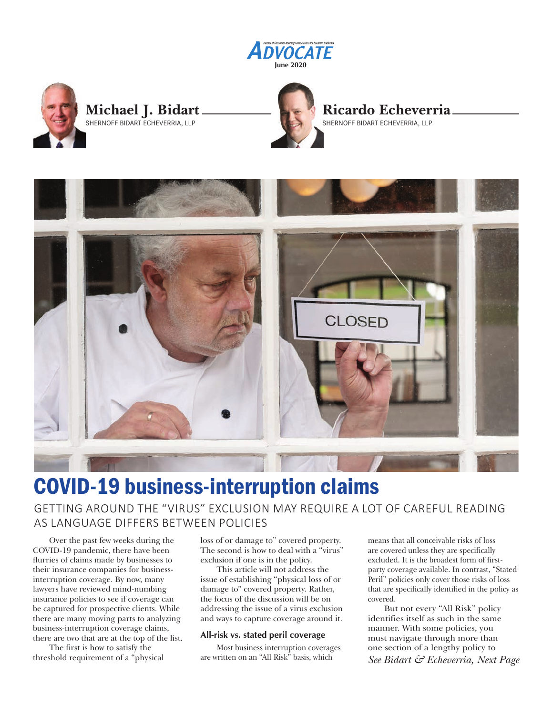



## **Michael J. Bidart** SHERNOFF BIDART ECHEVERRIA, LLP





# COVID-19 business-interruption claims

### GETTING AROUND THE "VIRUS" EXCLUSION MAY REQUIRE A LOT OF CAREFUL READING AS LANGUAGE DIFFERS BETWEEN POLICIES

Over the past few weeks during the COVID-19 pandemic, there have been flurries of claims made by businesses to their insurance companies for businessinterruption coverage. By now, many lawyers have reviewed mind-numbing insurance policies to see if coverage can be captured for prospective clients. While there are many moving parts to analyzing business-interruption coverage claims, there are two that are at the top of the list.

The first is how to satisfy the threshold requirement of a "physical loss of or damage to" covered property. The second is how to deal with a "virus" exclusion if one is in the policy.

This article will not address the issue of establishing "physical loss of or damage to" covered property. Rather, the focus of the discussion will be on addressing the issue of a virus exclusion and ways to capture coverage around it.

#### **All-risk vs. stated peril coverage**

Most business interruption coverages are written on an "All Risk" basis, which

means that all conceivable risks of loss are covered unless they are specifically excluded. It is the broadest form of firstparty coverage available. In contrast, "Stated Peril" policies only cover those risks of loss that are specifically identified in the policy as covered.

But not every "All Risk" policy identifies itself as such in the same manner. With some policies, you must navigate through more than one section of a lengthy policy to *See Bidart & Echeverria, Next Page*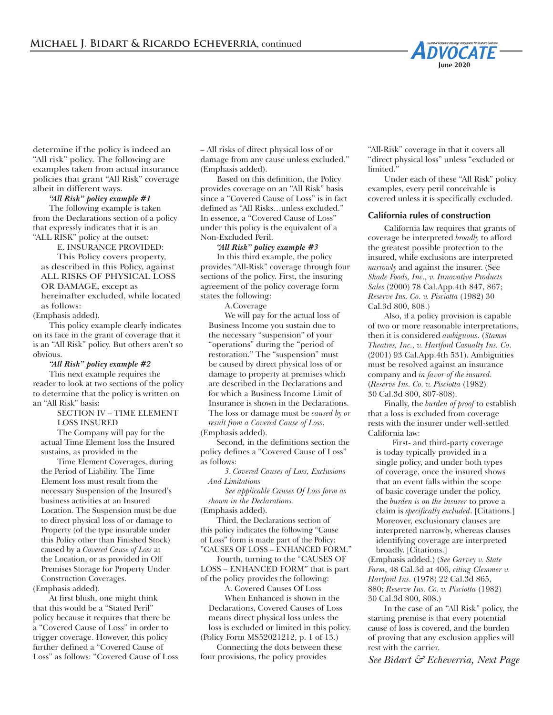

determine if the policy is indeed an "All risk" policy. The following are examples taken from actual insurance policies that grant "All Risk" coverage albeit in different ways.

#### *"All Risk" policy example #1*

The following example is taken from the Declarations section of a policy that expressly indicates that it is an "ALL RISK" policy at the outset:

E. INSURANCE PROVIDED: This Policy covers property, as described in this Policy, against ALL RISKS OF PHYSICAL LOSS OR DAMAGE, except as hereinafter excluded, while located as follows:

(Emphasis added).

This policy example clearly indicates on its face in the grant of coverage that it is an "All Risk" policy. But others aren't so obvious.

#### *"All Risk" policy example #2*

This next example requires the reader to look at two sections of the policy to determine that the policy is written on an "All Risk" basis:

> SECTION IV – TIME ELEMENT LOSS INSURED

The Company will pay for the actual Time Element loss the Insured sustains, as provided in the

Time Element Coverages, during the Period of Liability. The Time Element loss must result from the necessary Suspension of the Insured's business activities at an Insured Location. The Suspension must be due to direct physical loss of or damage to Property (of the type insurable under this Policy other than Finished Stock) caused by a *Covered Cause of Loss* at the Location, or as provided in Off Premises Storage for Property Under Construction Coverages.

(Emphasis added).

At first blush, one might think that this would be a "Stated Peril" policy because it requires that there be a "Covered Cause of Loss" in order to trigger coverage. However, this policy further defined a "Covered Cause of Loss" as follows: "Covered Cause of Loss – All risks of direct physical loss of or damage from any cause unless excluded." (Emphasis added).

Based on this definition, the Policy provides coverage on an "All Risk" basis since a "Covered Cause of Loss" is in fact defined as "All Risks…unless excluded." In essence, a "Covered Cause of Loss" under this policy is the equivalent of a Non-Excluded Peril.

#### *"All Risk" policy example #3*

In this third example, the policy provides "All-Risk" coverage through four sections of the policy. First, the insuring agreement of the policy coverage form states the following:

A.Coverage

We will pay for the actual loss of Business Income you sustain due to the necessary "suspension" of your "operations" during the "period of restoration." The "suspension" must be caused by direct physical loss of or damage to property at premises which are described in the Declarations and for which a Business Income Limit of Insurance is shown in the Declarations. The loss or damage must be *caused by or result from a Covered Cause of Loss*. (Emphasis added).

Second, in the definitions section the policy defines a "Covered Cause of Loss" as follows:

*3. Covered Causes of Loss, Exclusions And Limitations*

*See applicable Causes Of Loss form as shown in the Declarations*.

(Emphasis added).

Third, the Declarations section of this policy indicates the following "Cause of Loss" form is made part of the Policy: "CAUSES OF LOSS – ENHANCED FORM."

Fourth, turning to the "CAUSES OF

LOSS – ENHANCED FORM" that is part of the policy provides the following:

A. Covered Causes Of Loss

When Enhanced is shown in the Declarations, Covered Causes of Loss means direct physical loss unless the loss is excluded or limited in this policy. (Policy Form MS52021212, p. 1 of 13.)

Connecting the dots between these four provisions, the policy provides

"All-Risk" coverage in that it covers all "direct physical loss" unless "excluded or limited."

Under each of these "All Risk" policy examples, every peril conceivable is covered unless it is specifically excluded.

#### **California rules of construction**

California law requires that grants of coverage be interpreted *broadly* to afford the greatest possible protection to the insured, while exclusions are interpreted *narrowly* and against the insurer. (See *Shade Foods, Inc., v. Innovative Products Sales* (2000) 78 Cal.App.4th 847, 867; *Reserve Ins. Co. v. Pisciotta* (1982) 30 Cal.3d 800, 808.)

Also, if a policy provision is capable of two or more reasonable interpretations, then it is considered *ambiguous*. (*Stamm Theatres, Inc., v. Hartford Casualty Ins. Co*. (2001) 93 Cal.App.4th 531). Ambiguities must be resolved against an insurance company and *in favor of the insured.* (*Reserve Ins. Co. v. Pisciotta* (1982) 30 Cal.3d 800, 807-808).

Finally, the *burden of proof* to establish that a loss is excluded from coverage rests with the insurer under well-settled California law:

First- and third-party coverage is today typically provided in a single policy, and under both types of coverage, once the insured shows that an event falls within the scope of basic coverage under the policy, the *burden is on the insurer* to prove a claim is *specifically excluded*. [Citations.] Moreover, exclusionary clauses are interpreted narrowly, whereas clauses identifying coverage are interpreted broadly. [Citations.]

(Emphasis added.) (*See Garvey v. State Farm*, 48 Cal.3d at 406, *citing Clemmer v. Hartford Ins.* (1978) 22 Cal.3d 865, 880; *Reserve Ins. Co. v. Pisciotta* (1982) 30 Cal.3d 800, 808.)

In the case of an "All Risk" policy, the starting premise is that every potential cause of loss is covered, and the burden of proving that any exclusion applies will rest with the carrier.

*See Bidart & Echeverria, Next Page*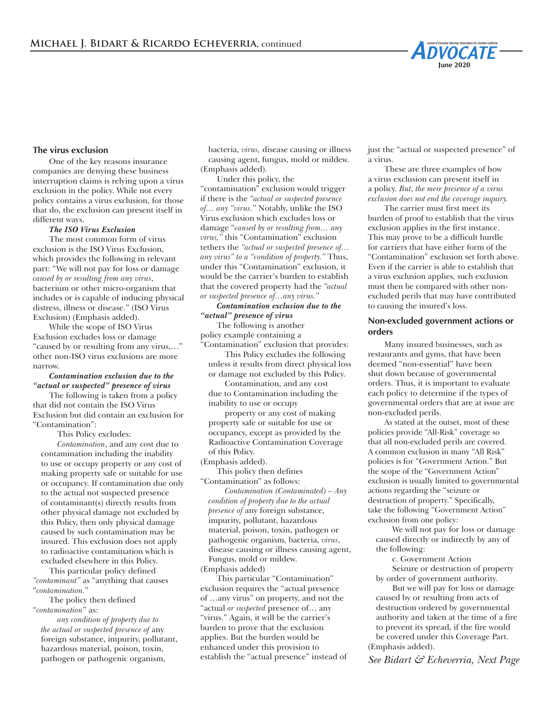

#### **The virus exclusion**

One of the key reasons insurance companies are denying these business interruption claims is relying upon a virus exclusion in the policy. While not every policy contains a virus exclusion, for those that do, the exclusion can present itself in different ways.

#### *The ISO Virus Exclusion*

The most common form of virus exclusion is the ISO Virus Exclusion, which provides the following in relevant part: "We will not pay for loss or damage *caused by or resulting from any virus*, bacterium or other micro-organism that includes or is capable of inducing physical distress, illness or disease." (ISO Virus Exclusion) (Emphasis added).

While the scope of ISO Virus Exclusion excludes loss or damage "caused by or resulting from any virus,…" other non-ISO virus exclusions are more narrow.

#### *Contamination exclusion due to the "actual or suspected" presence of virus*

The following is taken from a policy that did not contain the ISO Virus Exclusion but did contain an exclusion for "Contamination":

This Policy excludes:

*Contamination*, and any cost due to contamination including the inability to use or occupy property or any cost of making property safe or suitable for use or occupancy. If contamination due only to the actual not suspected presence of contaminant(s) directly results from other physical damage not excluded by this Policy, then only physical damage caused by such contamination may be insured. This exclusion does not apply to radioactive contamination which is excluded elsewhere in this Policy.

This particular policy defined *"contaminant"* as "anything that causes "*contamination.*"

The policy then defined "*contamination*" as:

*any condition of property due to the actual or suspected presence of* any foreign substance, impurity, pollutant, hazardous material, poison, toxin, pathogen or pathogenic organism,

bacteria, *virus,* disease causing or illness causing agent, fungus, mold or mildew. (Emphasis added).

Under this policy, the "contamination" exclusion would trigger if there is the *"actual or suspected presence of… any "virus."* Notably, unlike the ISO Virus exclusion which excludes loss or damage "*caused by or resulting from… any virus,"* this "Contamination" exclusion tethers the *"actual or suspected presence of… any virus" to a "condition of property."* Thus, under this "Contamination" exclusion, it would be the carrier's burden to establish that the covered property had the *"actual or suspected presence of…any virus."*

*Contamination exclusion due to the "actual" presence of virus*

The following is another policy example containing a "Contamination" exclusion that provides:

This Policy excludes the following unless it results from direct physical loss or damage not excluded by this Policy.

Contamination, and any cost due to Contamination including the

inability to use or occupy

property or any cost of making property safe or suitable for use or occupancy, except as provided by the Radioactive Contamination Coverage of this Policy.

(Emphasis added).

This policy then defines "Contamination" as follows:

*Contamination (Contaminated) – Any condition of property due to the actual presence of* any foreign substance, impurity, pollutant, hazardous material, poison, toxin, pathogen or pathogenic organism, bacteria, *virus*, disease causing or illness causing agent, Fungus, mold or mildew. (Emphasis added)

This particular "Contamination" exclusion requires the "actual presence of …any virus" on property, and not the "actual *or suspected* presence of… any "virus." Again, it will be the carrier's burden to prove that the exclusion applies. But the burden would be enhanced under this provision to establish the "actual presence" instead of just the "actual or suspected presence" of a virus.

These are three examples of how a virus exclusion can present itself in a policy. *But, the mere presence of a virus exclusion does not end the coverage inquiry.* 

The carrier must first meet its burden of proof to establish that the virus exclusion applies in the first instance. This may prove to be a difficult hurdle for carriers that have either form of the "Contamination" exclusion set forth above. Even if the carrier is able to establish that a virus exclusion applies, such exclusion must then be compared with other nonexcluded perils that may have contributed to causing the insured's loss.

#### **Non-excluded government actions or orders**

Many insured businesses, such as restaurants and gyms, that have been deemed "non-essential" have been shut down because of governmental orders. Thus, it is important to evaluate each policy to determine if the types of governmental orders that are at issue are non-excluded perils.

As stated at the outset, most of these policies provide "All-Risk" coverage so that all non-excluded perils are covered. A common exclusion in many "All Risk" policies is for "Government Action." But the scope of the "Government Action" exclusion is usually limited to governmental actions regarding the "seizure or destruction of property." Specifically, take the following "Government Action" exclusion from one policy:

We will not pay for loss or damage caused directly or indirectly by any of the following:

c. Government Action Seizure or destruction of property by order of government authority.

But we will pay for loss or damage caused by or resulting from acts of destruction ordered by governmental authority and taken at the time of a fire to prevent its spread, if the fire would be covered under this Coverage Part. (Emphasis added).

*See Bidart & Echeverria, Next Page*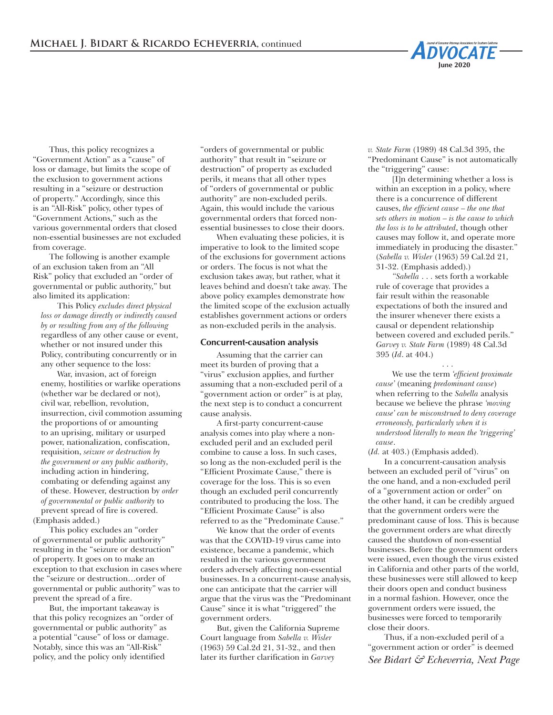

Thus, this policy recognizes a "Government Action" as a "cause" of loss or damage, but limits the scope of the exclusion to government actions resulting in a "seizure or destruction of property." Accordingly, since this is an "All-Risk" policy, other types of "Government Actions," such as the various governmental orders that closed non-essential businesses are not excluded from coverage.

The following is another example of an exclusion taken from an "All Risk" policy that excluded an "order of governmental or public authority," but also limited its application:

This Policy *excludes direct physical loss or damage directly or indirectly caused by or resulting from any of the following* regardless of any other cause or event, whether or not insured under this Policy, contributing concurrently or in any other sequence to the loss:

War, invasion, act of foreign enemy, hostilities or warlike operations (whether war be declared or not), civil war, rebellion, revolution, insurrection, civil commotion assuming the proportions of or amounting to an uprising, military or usurped power, nationalization, confiscation, requisition, *seizure or destruction by the government or any public authority*, including action in hindering, combating or defending against any of these. However, destruction by *order of governmental or public authority* to prevent spread of fire is covered. (Emphasis added.)

This policy excludes an "order of governmental or public authority" resulting in the "seizure or destruction" of property. It goes on to make an exception to that exclusion in cases where the "seizure or destruction…order of governmental or public authority" was to prevent the spread of a fire.

But, the important takeaway is that this policy recognizes an "order of governmental or public authority" as a potential "cause" of loss or damage. Notably, since this was an "All-Risk" policy, and the policy only identified

"orders of governmental or public authority" that result in "seizure or destruction" of property as excluded perils, it means that all other types of "orders of governmental or public authority" are non-excluded perils. Again, this would include the various governmental orders that forced nonessential businesses to close their doors.

When evaluating these policies, it is imperative to look to the limited scope of the exclusions for government actions or orders. The focus is not what the exclusion takes away, but rather, what it leaves behind and doesn't take away. The above policy examples demonstrate how the limited scope of the exclusion actually establishes government actions or orders as non-excluded perils in the analysis.

#### **Concurrent-causation analysis**

Assuming that the carrier can meet its burden of proving that a "virus" exclusion applies, and further assuming that a non-excluded peril of a "government action or order" is at play, the next step is to conduct a concurrent cause analysis.

A first-party concurrent-cause analysis comes into play where a nonexcluded peril and an excluded peril combine to cause a loss. In such cases, so long as the non-excluded peril is the "Efficient Proximate Cause," there is coverage for the loss. This is so even though an excluded peril concurrently contributed to producing the loss. The "Efficient Proximate Cause" is also referred to as the "Predominate Cause."

We know that the order of events was that the COVID-19 virus came into existence, became a pandemic, which resulted in the various government orders adversely affecting non-essential businesses. In a concurrent-cause analysis, one can anticipate that the carrier will argue that the virus was the "Predominant Cause" since it is what "triggered" the government orders.

But, given the California Supreme Court language from *Sabella v. Wisler*  (1963) 59 Cal.2d 21, 31-32.*,* and then later its further clarification in *Garvey* 

*v. State Farm* (1989) 48 Cal.3d 395, the "Predominant Cause" is not automatically the "triggering" cause:

[I]n determining whether a loss is within an exception in a policy, where there is a concurrence of different causes, *the efficient cause – the one that sets others in motion – is the cause to which the loss is to be attributed*, though other causes may follow it, and operate more immediately in producing the disaster." (*Sabella v. Wisler* (1963) 59 Cal.2d 21, 31-32. (Emphasis added).)

*"Sabella* . . . sets forth a workable rule of coverage that provides a fair result within the reasonable expectations of both the insured and the insurer whenever there exists a causal or dependent relationship between covered and excluded perils." *Garvey v. State Farm* (1989) 48 Cal.3d 395 (*Id*. at 404.)

. . . We use the term *'efficient proximate cause'* (meaning *predominant cause*) when referring to the *Sabella* analysis because we believe the phrase *'moving cause' can be misconstrued to deny coverage erroneously, particularly when it is understood literally to mean the 'triggering' cause*.

(*Id.* at 403.) (Emphasis added).

In a concurrent-causation analysis between an excluded peril of "virus" on the one hand, and a non-excluded peril of a "government action or order" on the other hand, it can be credibly argued that the government orders were the predominant cause of loss. This is because the government orders are what directly caused the shutdown of non-essential businesses. Before the government orders were issued, even though the virus existed in California and other parts of the world, these businesses were still allowed to keep their doors open and conduct business in a normal fashion. However, once the government orders were issued, the businesses were forced to temporarily close their doors.

Thus, if a non-excluded peril of a "government action or order" is deemed *See Bidart & Echeverria, Next Page*